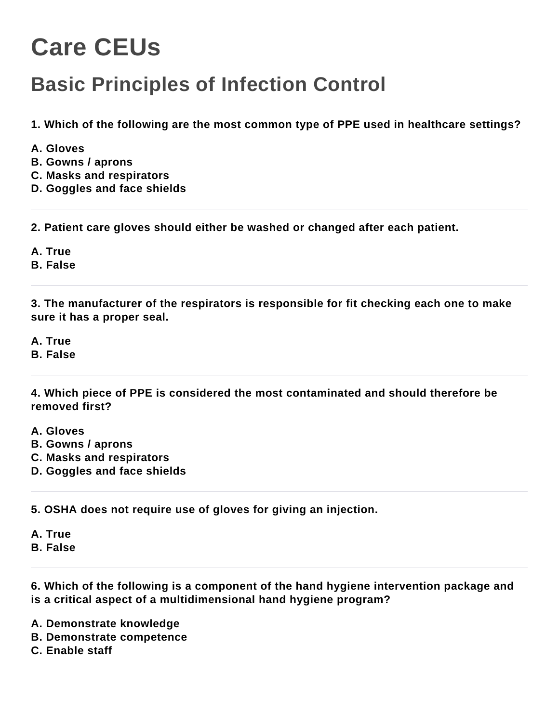## **Care CEUs**

## **Basic Principles of Infection Control**

**1. Which of the following are the most common type of PPE used in healthcare settings?**

- **A. Gloves**
- **B. Gowns / aprons**
- **C. Masks and respirators**
- **D. Goggles and face shields**

**2. Patient care gloves should either be washed or changed after each patient.**

**A. True**

**B. False**

**3. The manufacturer of the respirators is responsible for fit checking each one to make sure it has a proper seal.**

**A. True**

**B. False**

**4. Which piece of PPE is considered the most contaminated and should therefore be removed first?**

**A. Gloves**

- **B. Gowns / aprons**
- **C. Masks and respirators**
- **D. Goggles and face shields**

**5. OSHA does not require use of gloves for giving an injection.**

**A. True B. False**

**6. Which of the following is a component of the hand hygiene intervention package and is a critical aspect of a multidimensional hand hygiene program?**

**A. Demonstrate knowledge**

**B. Demonstrate competence**

**C. Enable staff**